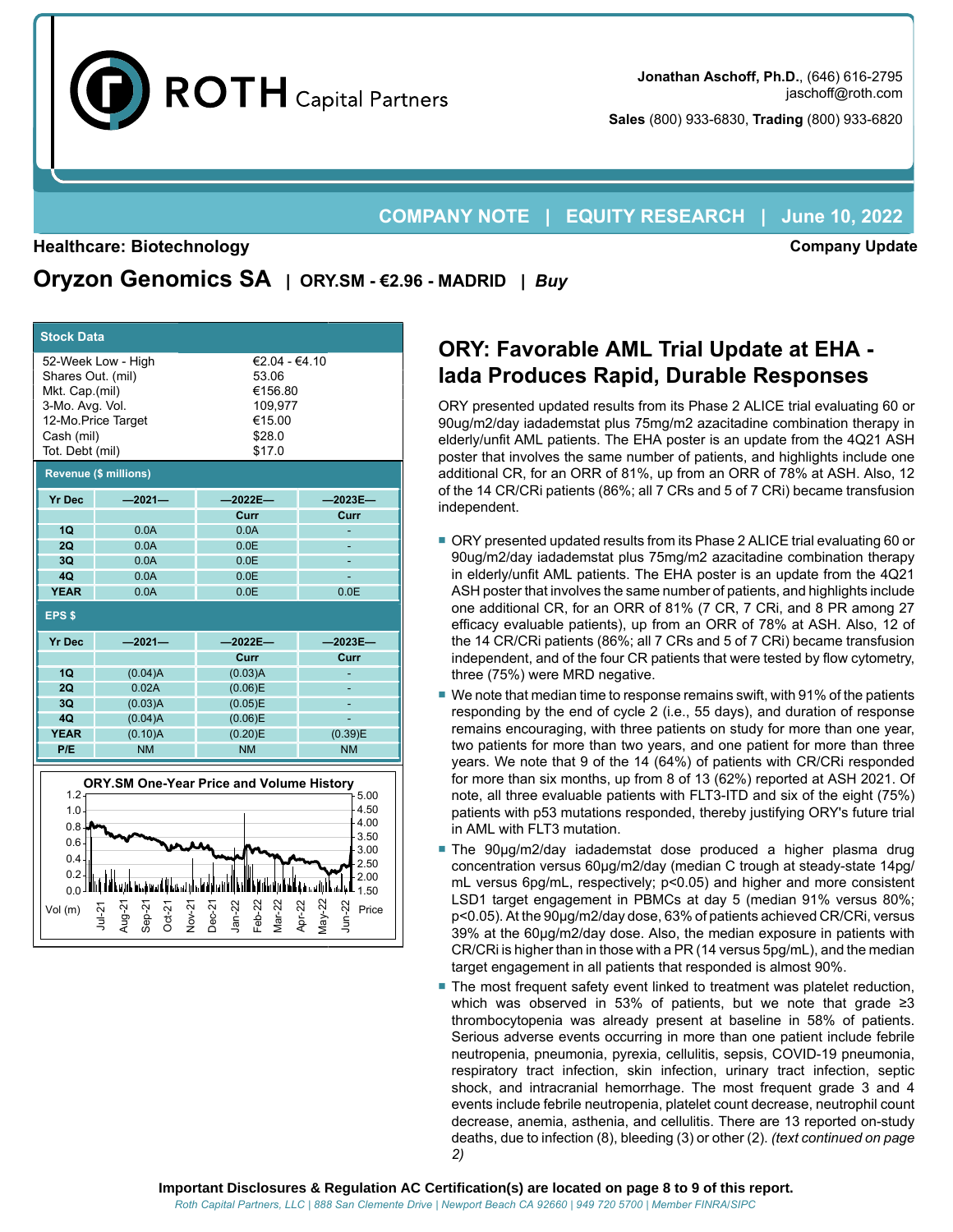

**Sales** (800) 933-6830, **Trading** (800) 933-6820

## **COMPANY NOTE | EQUITY RESEARCH | June 10, 2022**

#### **Healthcare: Biotechnology**

Jul-21 Aug-21 Sep-21 Oct-21 Nov-21 Dec-21 Jan-22 Feb-22 Mar-22 Apr-22 May-22 **Company Update**

# **Oryzon Genomics SA | ORY.SM - €2.96 - MADRID |** *Buy*

| <b>Stock Data</b>                                                                                                                                                                                          |                                          |                                                                            |                      |  |  |  |  |  |  |  |  |
|------------------------------------------------------------------------------------------------------------------------------------------------------------------------------------------------------------|------------------------------------------|----------------------------------------------------------------------------|----------------------|--|--|--|--|--|--|--|--|
| Shares Out. (mil)<br>Mkt. Cap.(mil)<br>3-Mo. Avg. Vol.<br>Cash (mil)<br>Tot. Debt (mil)                                                                                                                    | 52-Week Low - High<br>12-Mo.Price Target | €2.04 - €4.10<br>53.06<br>€156.80<br>109.977<br>€15.00<br>\$28.0<br>\$17.0 |                      |  |  |  |  |  |  |  |  |
|                                                                                                                                                                                                            | <b>Revenue (\$ millions)</b>             |                                                                            |                      |  |  |  |  |  |  |  |  |
| <b>Yr Dec</b>                                                                                                                                                                                              | $-2021-$                                 | $-2022E -$                                                                 | $-2023E-$            |  |  |  |  |  |  |  |  |
|                                                                                                                                                                                                            |                                          | Curr                                                                       | Curr                 |  |  |  |  |  |  |  |  |
| 1Q                                                                                                                                                                                                         | 0.0A                                     | 0.0A                                                                       |                      |  |  |  |  |  |  |  |  |
| 2Q                                                                                                                                                                                                         | 0.0A                                     | 0.0E                                                                       |                      |  |  |  |  |  |  |  |  |
| 3Q                                                                                                                                                                                                         | 0.0A                                     | 0.0E                                                                       |                      |  |  |  |  |  |  |  |  |
| 40                                                                                                                                                                                                         | 0.0A                                     | 0.0E                                                                       |                      |  |  |  |  |  |  |  |  |
| <b>YEAR</b>                                                                                                                                                                                                | 0.0A                                     | 0.0E                                                                       | 0.0E                 |  |  |  |  |  |  |  |  |
| EPS <sub>\$</sub>                                                                                                                                                                                          |                                          |                                                                            |                      |  |  |  |  |  |  |  |  |
| <b>Yr Dec</b>                                                                                                                                                                                              | $-2021-$                                 | $-2022E-$                                                                  | $-2023E-$            |  |  |  |  |  |  |  |  |
|                                                                                                                                                                                                            |                                          | Curr                                                                       | Curr                 |  |  |  |  |  |  |  |  |
| 1Q                                                                                                                                                                                                         | (0.04)A                                  | (0.03)A                                                                    |                      |  |  |  |  |  |  |  |  |
| 2Q                                                                                                                                                                                                         | 0.02A                                    | (0.06)E                                                                    |                      |  |  |  |  |  |  |  |  |
| 3Q                                                                                                                                                                                                         | (0.03)A                                  | (0.05)E                                                                    |                      |  |  |  |  |  |  |  |  |
| 4Q<br><b>YEAR</b>                                                                                                                                                                                          | (0.04)A                                  | (0.06)E                                                                    |                      |  |  |  |  |  |  |  |  |
| P/E                                                                                                                                                                                                        | (0.10)A<br><b>NM</b>                     | (0.20)E<br><b>NM</b>                                                       | (0.39)E<br><b>NM</b> |  |  |  |  |  |  |  |  |
|                                                                                                                                                                                                            |                                          |                                                                            |                      |  |  |  |  |  |  |  |  |
| <b>ORY.SM One-Year Price and Volume History</b><br>$1.2 -$<br>5.00<br>4.50<br>1.0 <sub>1</sub><br>4.00<br>$0.8 -$<br>3.50<br>$0.6 -$<br>3.00<br>0.4<br>2.50<br>0.2<br>2.00<br>الماللهما<br>$0.0 -$<br>1.50 |                                          |                                                                            |                      |  |  |  |  |  |  |  |  |

Vol(m) ဂု ၅ ၅ ၅ ၅ ၅ ၅ ရက္ ၂ ရက္

# **ORY: Favorable AML Trial Update at EHA - Iada Produces Rapid, Durable Responses**

ORY presented updated results from its Phase 2 ALICE trial evaluating 60 or 90ug/m2/day iadademstat plus 75mg/m2 azacitadine combination therapy in elderly/unfit AML patients. The EHA poster is an update from the 4Q21 ASH poster that involves the same number of patients, and highlights include one additional CR, for an ORR of 81%, up from an ORR of 78% at ASH. Also, 12 of the 14 CR/CRi patients (86%; all 7 CRs and 5 of 7 CRi) became transfusion independent.

- ORY presented updated results from its Phase 2 ALICE trial evaluating 60 or 90ug/m2/day iadademstat plus 75mg/m2 azacitadine combination therapy in elderly/unfit AML patients. The EHA poster is an update from the 4Q21 ASH poster that involves the same number of patients, and highlights include one additional CR, for an ORR of 81% (7 CR, 7 CRi, and 8 PR among 27 efficacy evaluable patients), up from an ORR of 78% at ASH. Also, 12 of the 14 CR/CRi patients (86%; all 7 CRs and 5 of 7 CRi) became transfusion independent, and of the four CR patients that were tested by flow cytometry, three (75%) were MRD negative.
- We note that median time to response remains swift, with 91% of the patients responding by the end of cycle 2 (i.e., 55 days), and duration of response remains encouraging, with three patients on study for more than one year, two patients for more than two years, and one patient for more than three years. We note that 9 of the 14 (64%) of patients with CR/CRi responded for more than six months, up from 8 of 13 (62%) reported at ASH 2021. Of note, all three evaluable patients with FLT3-ITD and six of the eight (75%) patients with p53 mutations responded, thereby justifying ORY's future trial in AML with FLT3 mutation.
- The 90µg/m2/day iadademstat dose produced a higher plasma drug concentration versus 60μg/m2/day (median C trough at steady-state 14pg/ mL versus 6pg/mL, respectively; p<0.05) and higher and more consistent LSD1 target engagement in PBMCs at day 5 (median 91% versus 80%; p<0.05). At the 90μg/m2/day dose, 63% of patients achieved CR/CRi, versus 39% at the 60μg/m2/day dose. Also, the median exposure in patients with CR/CRi is higher than in those with a PR (14 versus 5pg/mL), and the median target engagement in all patients that responded is almost 90%.
- The most frequent safety event linked to treatment was platelet reduction, which was observed in 53% of patients, but we note that grade ≥3 thrombocytopenia was already present at baseline in 58% of patients. Serious adverse events occurring in more than one patient include febrile neutropenia, pneumonia, pyrexia, cellulitis, sepsis, COVID-19 pneumonia, respiratory tract infection, skin infection, urinary tract infection, septic shock, and intracranial hemorrhage. The most frequent grade 3 and 4 events include febrile neutropenia, platelet count decrease, neutrophil count decrease, anemia, asthenia, and cellulitis. There are 13 reported on-study deaths, due to infection (8), bleeding (3) or other (2). *(text continued on page 2)*

Price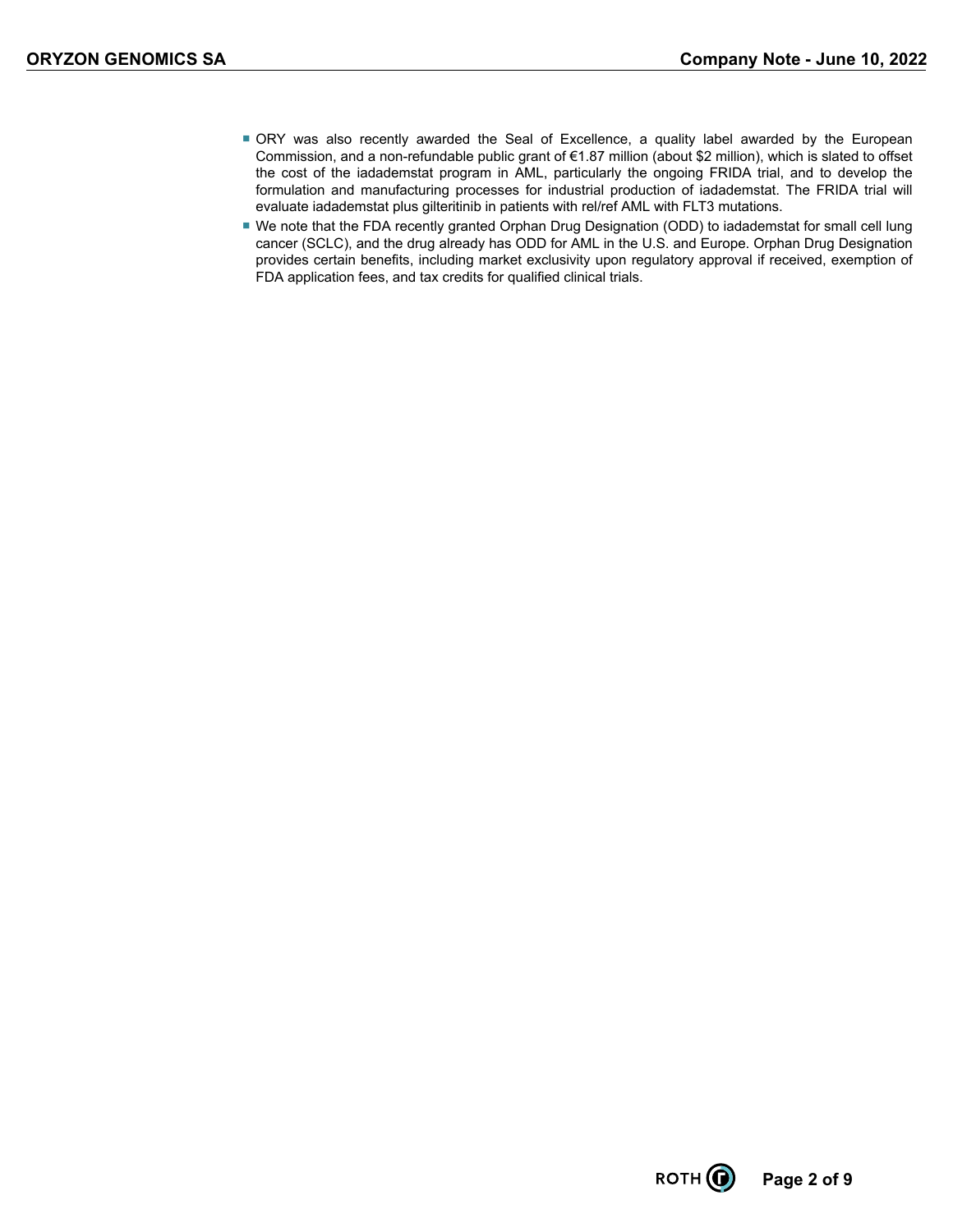- ORY was also recently awarded the Seal of Excellence, a quality label awarded by the European Commission, and a non-refundable public grant of €1.87 million (about \$2 million), which is slated to offset the cost of the iadademstat program in AML, particularly the ongoing FRIDA trial, and to develop the formulation and manufacturing processes for industrial production of iadademstat. The FRIDA trial will evaluate iadademstat plus gilteritinib in patients with rel/ref AML with FLT3 mutations.
- We note that the FDA recently granted Orphan Drug Designation (ODD) to iadademstat for small cell lung cancer (SCLC), and the drug already has ODD for AML in the U.S. and Europe. Orphan Drug Designation provides certain benefits, including market exclusivity upon regulatory approval if received, exemption of FDA application fees, and tax credits for qualified clinical trials.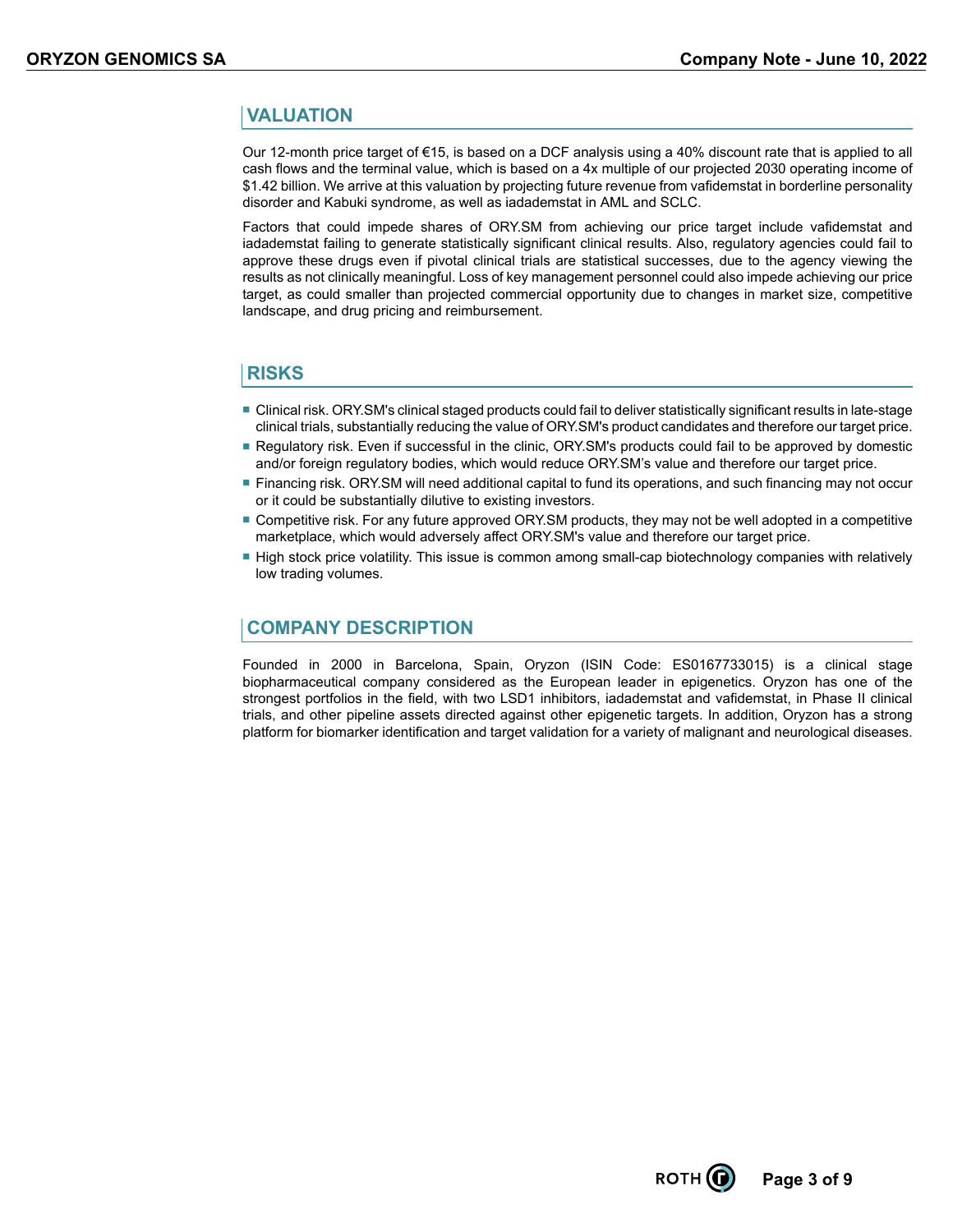### **VALUATION**

Our 12-month price target of €15, is based on a DCF analysis using a 40% discount rate that is applied to all cash flows and the terminal value, which is based on a 4x multiple of our projected 2030 operating income of \$1.42 billion. We arrive at this valuation by projecting future revenue from vafidemstat in borderline personality disorder and Kabuki syndrome, as well as iadademstat in AML and SCLC.

Factors that could impede shares of ORY.SM from achieving our price target include vafidemstat and iadademstat failing to generate statistically significant clinical results. Also, regulatory agencies could fail to approve these drugs even if pivotal clinical trials are statistical successes, due to the agency viewing the results as not clinically meaningful. Loss of key management personnel could also impede achieving our price target, as could smaller than projected commercial opportunity due to changes in market size, competitive landscape, and drug pricing and reimbursement.

### **RISKS**

- Clinical risk. ORY.SM's clinical staged products could fail to deliver statistically significant results in late-stage clinical trials, substantially reducing the value of ORY.SM's product candidates and therefore our target price.
- Regulatory risk. Even if successful in the clinic, ORY.SM's products could fail to be approved by domestic and/or foreign regulatory bodies, which would reduce ORY.SM's value and therefore our target price.
- Financing risk. ORY. SM will need additional capital to fund its operations, and such financing may not occur or it could be substantially dilutive to existing investors.
- Competitive risk. For any future approved ORY.SM products, they may not be well adopted in a competitive marketplace, which would adversely affect ORY.SM's value and therefore our target price.
- High stock price volatility. This issue is common among small-cap biotechnology companies with relatively low trading volumes.

### **COMPANY DESCRIPTION**

Founded in 2000 in Barcelona, Spain, Oryzon (ISIN Code: ES0167733015) is a clinical stage biopharmaceutical company considered as the European leader in epigenetics. Oryzon has one of the strongest portfolios in the field, with two LSD1 inhibitors, iadademstat and vafidemstat, in Phase II clinical trials, and other pipeline assets directed against other epigenetic targets. In addition, Oryzon has a strong platform for biomarker identification and target validation for a variety of malignant and neurological diseases.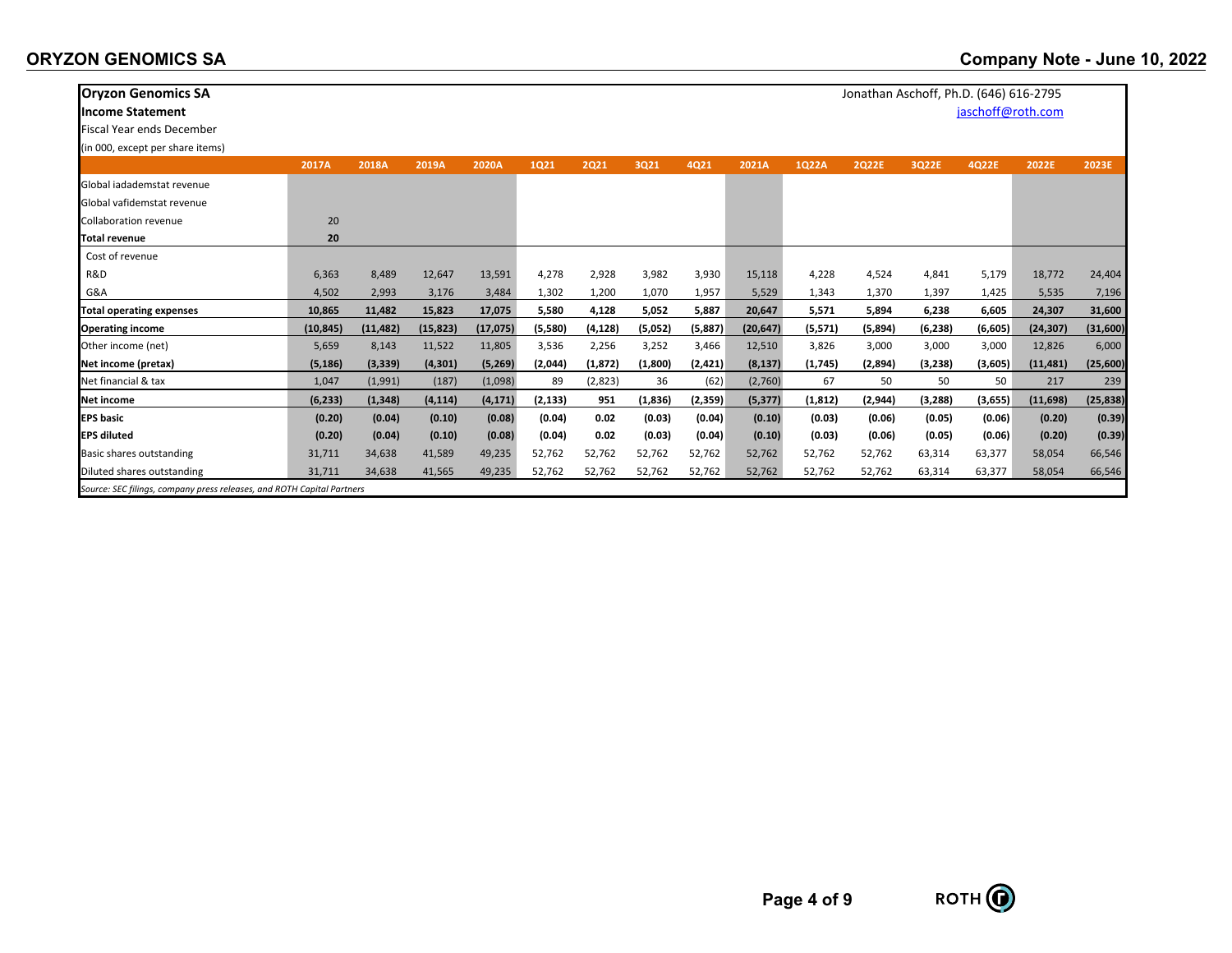| <b>Oryzon Genomics SA</b><br>Jonathan Aschoff, Ph.D. (646) 616-2795    |           |           |           |           |         |          |          |         |           |          |              |          |                   |           |           |
|------------------------------------------------------------------------|-----------|-----------|-----------|-----------|---------|----------|----------|---------|-----------|----------|--------------|----------|-------------------|-----------|-----------|
| <b>Income Statement</b>                                                |           |           |           |           |         |          |          |         |           |          |              |          | jaschoff@roth.com |           |           |
| <b>Fiscal Year ends December</b>                                       |           |           |           |           |         |          |          |         |           |          |              |          |                   |           |           |
| (in 000, except per share items)                                       |           |           |           |           |         |          |          |         |           |          |              |          |                   |           |           |
|                                                                        | 2017A     | 2018A     | 2019A     | 2020A     | 1021    | 2021     | 3Q21     | 4Q21    | 2021A     | 1Q22A    | <b>2Q22E</b> | 3Q22E    | 4Q22E             | 2022E     | 2023E     |
| Global jadademstat revenue                                             |           |           |           |           |         |          |          |         |           |          |              |          |                   |           |           |
| Global vafidemstat revenue                                             |           |           |           |           |         |          |          |         |           |          |              |          |                   |           |           |
| <b>Collaboration revenue</b>                                           | 20        |           |           |           |         |          |          |         |           |          |              |          |                   |           |           |
| <b>Total revenue</b>                                                   | 20        |           |           |           |         |          |          |         |           |          |              |          |                   |           |           |
| Cost of revenue                                                        |           |           |           |           |         |          |          |         |           |          |              |          |                   |           |           |
| R&D                                                                    | 6,363     | 8,489     | 12,647    | 13,591    | 4,278   | 2,928    | 3,982    | 3,930   | 15,118    | 4,228    | 4,524        | 4,841    | 5,179             | 18,772    | 24,404    |
| G&A                                                                    | 4,502     | 2,993     | 3,176     | 3,484     | 1,302   | 1,200    | 1,070    | 1,957   | 5,529     | 1,343    | 1,370        | 1,397    | 1,425             | 5,535     | 7,196     |
| <b>Total operating expenses</b>                                        | 10,865    | 11,482    | 15,823    | 17,075    | 5,580   | 4,128    | 5,052    | 5,887   | 20,647    | 5,571    | 5,894        | 6,238    | 6,605             | 24,307    | 31,600    |
| <b>Operating income</b>                                                | (10, 845) | (11, 482) | (15, 823) | (17, 075) | (5,580) | (4, 128) | (5,052)  | (5,887) | (20, 647) | (5,571)  | (5,894)      | (6, 238) | (6,605)           | (24, 307) | (31,600)  |
| Other income (net)                                                     | 5,659     | 8,143     | 11,522    | 11,805    | 3,536   | 2,256    | 3,252    | 3,466   | 12,510    | 3,826    | 3,000        | 3,000    | 3,000             | 12,826    | 6,000     |
| Net income (pretax)                                                    | (5, 186)  | (3, 339)  | (4, 301)  | (5,269)   | (2,044) | (1, 872) | (1,800)  | (2,421) | (8, 137)  | (1,745)  | (2,894)      | (3,238)  | (3,605)           | (11, 481) | (25,600)  |
| Net financial & tax                                                    | 1,047     | (1,991)   | (187)     | (1,098)   | 89      | (2,823)  | 36       | (62)    | (2,760)   | 67       | 50           | 50       | 50                | 217       | 239       |
| Net income                                                             | (6, 233)  | (1, 348)  | (4, 114)  | (4, 171)  | (2,133) | 951      | (1, 836) | (2,359) | (5, 377)  | (1, 812) | (2,944)      | (3,288)  | (3,655)           | (11, 698) | (25, 838) |
| <b>EPS</b> basic                                                       | (0.20)    | (0.04)    | (0.10)    | (0.08)    | (0.04)  | 0.02     | (0.03)   | (0.04)  | (0.10)    | (0.03)   | (0.06)       | (0.05)   | (0.06)            | (0.20)    | (0.39)    |
| <b>EPS diluted</b>                                                     | (0.20)    | (0.04)    | (0.10)    | (0.08)    | (0.04)  | 0.02     | (0.03)   | (0.04)  | (0.10)    | (0.03)   | (0.06)       | (0.05)   | (0.06)            | (0.20)    | (0.39)    |
| Basic shares outstanding                                               | 31,711    | 34,638    | 41,589    | 49,235    | 52,762  | 52,762   | 52,762   | 52,762  | 52,762    | 52,762   | 52,762       | 63,314   | 63,377            | 58,054    | 66,546    |
| Diluted shares outstanding                                             | 31,711    | 34,638    | 41,565    | 49,235    | 52,762  | 52,762   | 52,762   | 52,762  | 52,762    | 52,762   | 52,762       | 63,314   | 63,377            | 58,054    | 66,546    |
| Source: SEC filings, company press releases, and ROTH Capital Partners |           |           |           |           |         |          |          |         |           |          |              |          |                   |           |           |



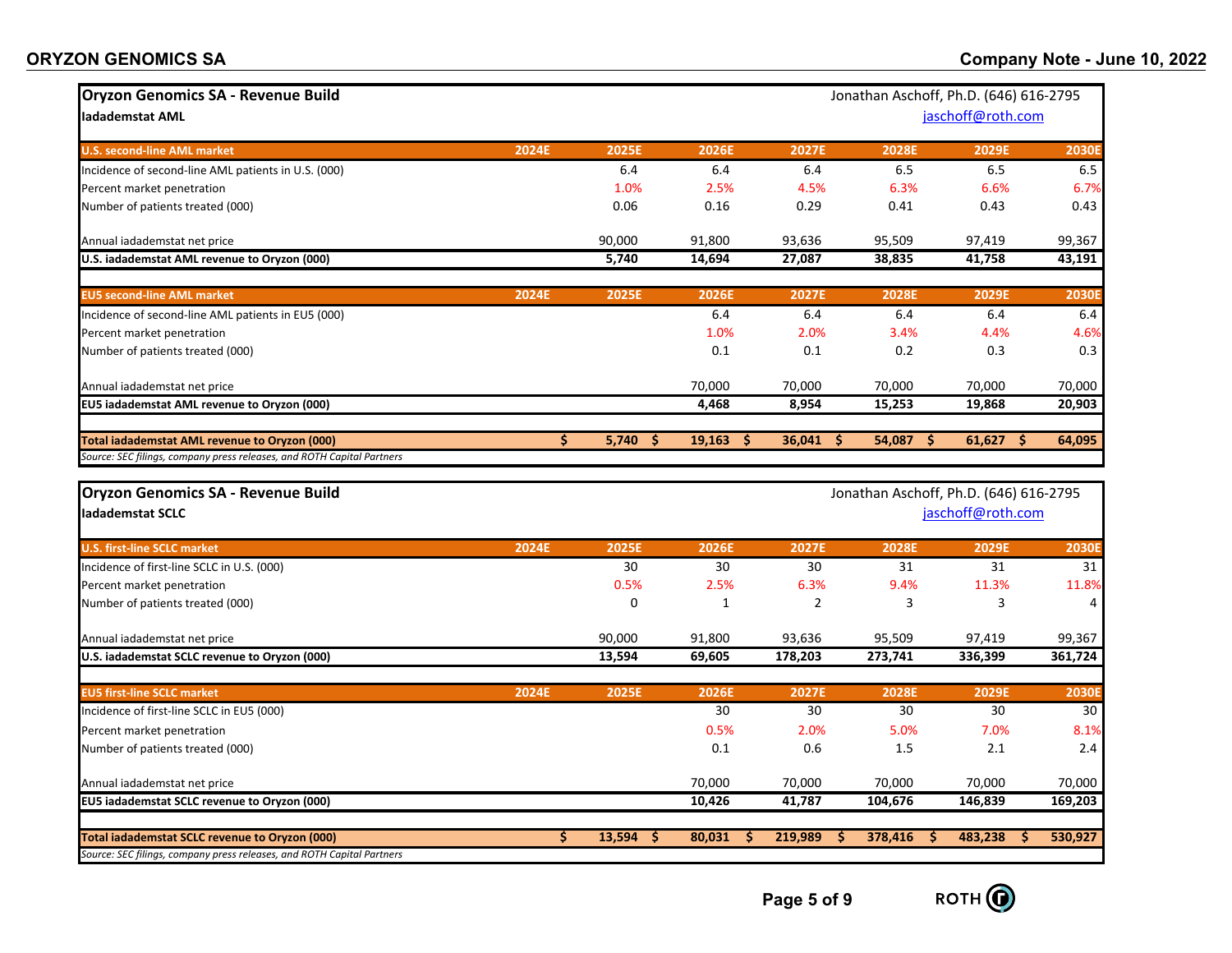| <b>ORYZON GENOMICS SA</b> |  |  |
|---------------------------|--|--|
|---------------------------|--|--|

| <b>Oryzon Genomics SA - Revenue Build</b>                                                                                |       |              |             |                |              | Jonathan Aschoff, Ph.D. (646) 616-2795 |              |
|--------------------------------------------------------------------------------------------------------------------------|-------|--------------|-------------|----------------|--------------|----------------------------------------|--------------|
| ladademstat AML                                                                                                          |       |              |             |                |              | jaschoff@roth.com                      |              |
|                                                                                                                          |       |              |             |                |              |                                        |              |
| <b>U.S. second-line AML market</b>                                                                                       | 2024E | 2025E        | 2026E       | 2027E          | <b>2028E</b> | 2029E                                  | 2030         |
| Incidence of second-line AML patients in U.S. (000)                                                                      |       | 6.4          | 6.4         | 6.4            | 6.5          | 6.5                                    | 6.5          |
| Percent market penetration                                                                                               |       | 1.0%         | 2.5%        | 4.5%           | 6.3%         | 6.6%                                   | 6.7%         |
| Number of patients treated (000)                                                                                         |       | 0.06         | 0.16        | 0.29           | 0.41         | 0.43                                   | 0.43         |
| Annual iadademstat net price                                                                                             |       | 90,000       | 91,800      | 93,636         | 95,509       | 97,419                                 | 99,367       |
| U.S. iadademstat AML revenue to Oryzon (000)                                                                             |       | 5,740        | 14,694      | 27,087         | 38,835       | 41,758                                 | 43,191       |
| <b>EU5 second-line AML market</b>                                                                                        | 2024E | <b>2025E</b> | 2026E       | 2027E          | 2028E        | 2029E                                  | <b>2030E</b> |
| Incidence of second-line AML patients in EU5 (000)                                                                       |       |              | 6.4         | 6.4            | 6.4          | 6.4                                    | 6.4          |
| Percent market penetration                                                                                               |       |              | 1.0%        | 2.0%           | 3.4%         | 4.4%                                   | 4.6%         |
| Number of patients treated (000)                                                                                         |       |              | 0.1         | 0.1            | 0.2          | 0.3                                    | 0.3          |
| Annual iadademstat net price                                                                                             |       |              | 70,000      | 70,000         | 70,000       | 70,000                                 | 70,000       |
| EU5 iadademstat AML revenue to Oryzon (000)                                                                              |       |              | 4,468       | 8,954          | 15,253       | 19,868                                 | 20,903       |
| <b>Total iadademstat AML revenue to Oryzon (000)</b>                                                                     | \$    | 5,740<br>-S  | $19,163$ \$ | 36,041<br>\$.  | 54,087<br>s  | 61,627<br>-\$                          | 64,095       |
| Source: SEC filings, company press releases, and ROTH Capital Partners                                                   |       |              |             |                |              |                                        |              |
|                                                                                                                          |       |              |             |                |              |                                        |              |
| <b>Oryzon Genomics SA - Revenue Build</b>                                                                                |       |              |             |                |              | Jonathan Aschoff, Ph.D. (646) 616-2795 |              |
| ladademstat SCLC                                                                                                         |       |              |             |                |              | jaschoff@roth.com                      |              |
| <b>U.S. first-line SCLC market</b>                                                                                       | 2024E | 2025E        | 2026E       | 2027E          | 2028E        | 2029E                                  | <b>2030E</b> |
| Incidence of first-line SCLC in U.S. (000)                                                                               |       | 30           | 30          | 30             | 31           | 31                                     | 31           |
| Percent market penetration                                                                                               |       | 0.5%         | 2.5%        | 6.3%           | 9.4%         | 11.3%                                  | 11.8%        |
| Number of patients treated (000)                                                                                         |       | $\mathbf 0$  | 1           | $\overline{2}$ | 3            | 3                                      | 4            |
| Annual iadademstat net price                                                                                             |       | 90,000       | 91,800      | 93,636         | 95,509       | 97,419                                 | 99,367       |
| U.S. iadademstat SCLC revenue to Oryzon (000)                                                                            |       | 13,594       | 69,605      | 178,203        | 273,741      | 336,399                                | 361,724      |
| <b>EU5 first-line SCLC market</b>                                                                                        | 2024E | 2025E        | 2026E       | 2027E          | <b>2028E</b> | 2029E                                  | <b>2030E</b> |
| Incidence of first-line SCLC in EU5 (000)                                                                                |       |              | 30          | 30             | 30           | 30                                     | 30           |
| Percent market penetration                                                                                               |       |              | 0.5%        | 2.0%           | 5.0%         | 7.0%                                   | 8.1%         |
| Number of patients treated (000)                                                                                         |       |              | 0.1         | 0.6            | 1.5          | 2.1                                    | 2.4          |
| Annual iadademstat net price                                                                                             |       |              | 70,000      | 70,000         | 70,000       | 70,000                                 | 70,000       |
| EU5 iadademstat SCLC revenue to Oryzon (000)                                                                             |       |              |             |                |              |                                        |              |
|                                                                                                                          |       |              | 10,426      | 41,787         | 104,676      | 146,839                                | 169,203      |
|                                                                                                                          |       |              |             |                |              |                                        |              |
| Total iadademstat SCLC revenue to Oryzon (000)<br>Source: SEC filings, company press releases, and ROTH Capital Partners | Ŝ.    | 13,594<br>S  | 80,031<br>S | 219,989<br>S   | 378,416<br>S | 483,238<br>S.                          | 530,927      |

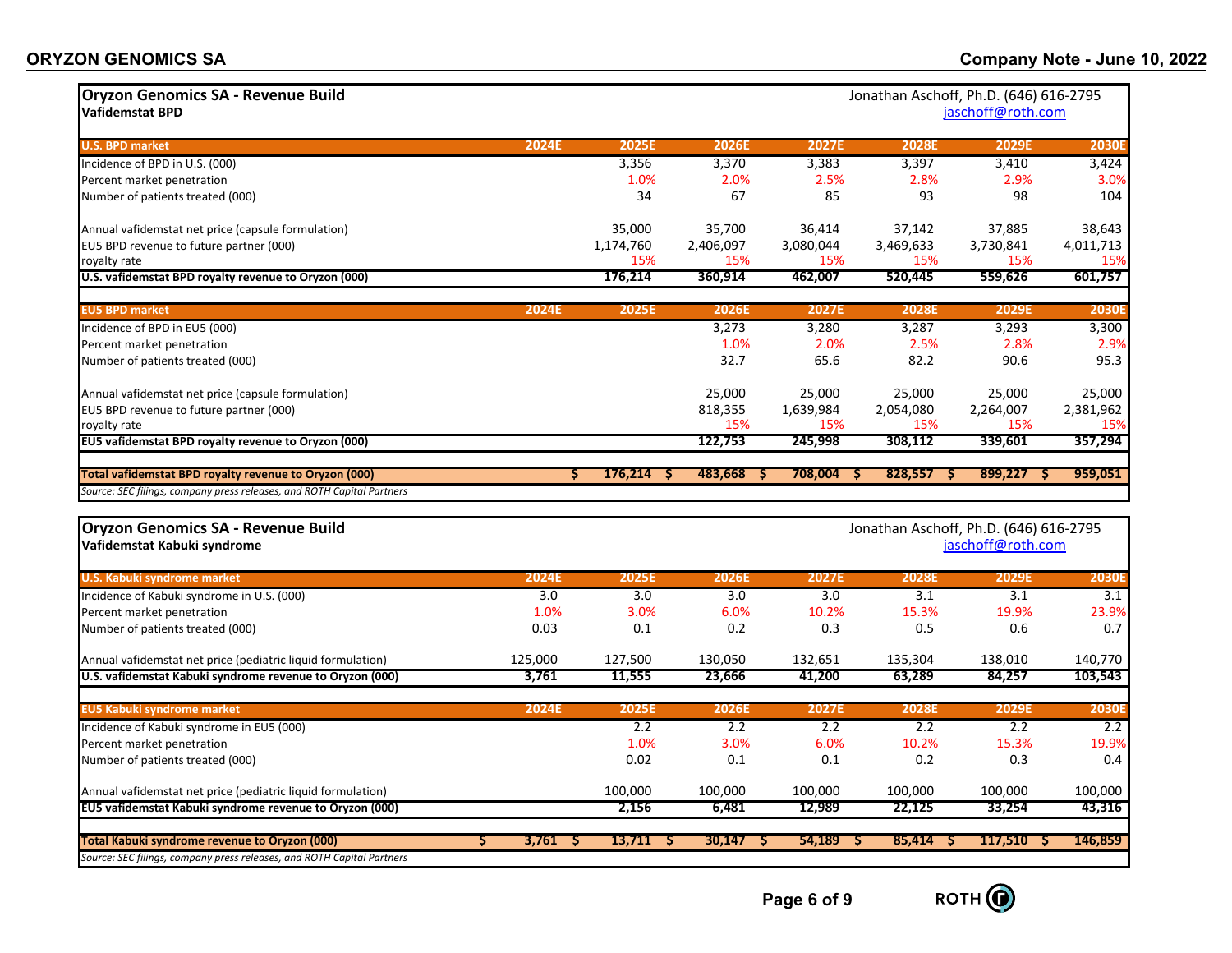| <b>Oryzon Genomics SA - Revenue Build</b><br>Jonathan Aschoff, Ph.D. (646) 616-2795<br>jaschoff@roth.com<br><b>Vafidemstat BPD</b> |                   |              |              |                     |                   |                                                             |              |  |
|------------------------------------------------------------------------------------------------------------------------------------|-------------------|--------------|--------------|---------------------|-------------------|-------------------------------------------------------------|--------------|--|
| <b>U.S. BPD market</b>                                                                                                             | 2024E             | 2025E        | 2026E        | 2027E               | 2028E             | 2029E                                                       | <b>2030E</b> |  |
| Incidence of BPD in U.S. (000)                                                                                                     |                   | 3,356        | 3,370        | 3,383               | 3,397             | 3,410                                                       | 3,424        |  |
| Percent market penetration                                                                                                         |                   | 1.0%         | 2.0%         | 2.5%                | 2.8%              | 2.9%                                                        | 3.0%         |  |
| Number of patients treated (000)                                                                                                   |                   | 34           | 67           | 85                  | 93                | 98                                                          | 104          |  |
| Annual vafidemstat net price (capsule formulation)                                                                                 |                   | 35,000       | 35,700       | 36,414              | 37,142            | 37,885                                                      | 38,643       |  |
| EU5 BPD revenue to future partner (000)                                                                                            |                   | 1,174,760    | 2,406,097    | 3,080,044           | 3,469,633         | 3,730,841                                                   | 4,011,713    |  |
| royalty rate                                                                                                                       |                   | 15%          | 15%          | 15%                 | 15%               | 15%                                                         | 15%          |  |
| U.S. vafidemstat BPD royalty revenue to Oryzon (000)                                                                               |                   | 176,214      | 360,914      | 462,007             | 520,445           | 559,626                                                     | 601,757      |  |
| <b>EU5 BPD market</b>                                                                                                              | 2024E             | 2025E        | <b>2026E</b> | 2027E               | 2028E             | 2029E                                                       | <b>2030E</b> |  |
| Incidence of BPD in EU5 (000)                                                                                                      |                   |              | 3,273        | 3,280               | 3,287             | 3,293                                                       | 3,300        |  |
| Percent market penetration                                                                                                         |                   |              | 1.0%         | 2.0%                | 2.5%              | 2.8%                                                        | 2.9%         |  |
| Number of patients treated (000)                                                                                                   |                   |              | 32.7         | 65.6                | 82.2              | 90.6                                                        | 95.3         |  |
| Annual vafidemstat net price (capsule formulation)                                                                                 |                   |              | 25,000       | 25,000              | 25,000            | 25,000                                                      | 25,000       |  |
| EU5 BPD revenue to future partner (000)                                                                                            |                   |              | 818,355      | 1,639,984           | 2,054,080         | 2,264,007                                                   | 2,381,962    |  |
| royalty rate                                                                                                                       |                   |              | 15%          | 15%                 | 15%               | 15%                                                         | 15%          |  |
| EU5 vafidemstat BPD royalty revenue to Oryzon (000)                                                                                |                   |              | 122,753      | 245,998             | 308,112           | 339,601                                                     | 357,294      |  |
| Total vafidemstat BPD royalty revenue to Oryzon (000)                                                                              | s                 | $176,214$ \$ | 483,668      | 708,004<br>-S<br>-S | $828,557$ \$      | $899,227$ \$                                                | 959,051      |  |
| Source: SEC filings, company press releases, and ROTH Capital Partners                                                             |                   |              |              |                     |                   |                                                             |              |  |
| <b>Oryzon Genomics SA - Revenue Build</b><br>Vafidemstat Kabuki syndrome                                                           |                   |              |              |                     |                   | Jonathan Aschoff, Ph.D. (646) 616-2795<br>jaschoff@roth.com |              |  |
| <b>U.S. Kabuki syndrome market</b>                                                                                                 | 2024E             | 2025E        | 2026E        | 2027E               | 2028E             | 2029E                                                       | 2030E        |  |
| Incidence of Kabuki syndrome in U.S. (000)                                                                                         | 3.0               | 3.0          | 3.0          | 3.0                 | 3.1               | 3.1                                                         | 3.1          |  |
| Percent market penetration                                                                                                         | 1.0%              | 3.0%         | 6.0%         | 10.2%               | 15.3%             | 19.9%                                                       | 23.9%        |  |
| Number of patients treated (000)                                                                                                   | 0.03              | 0.1          | 0.2          | 0.3                 | 0.5               | 0.6                                                         | 0.7          |  |
| Annual vafidemstat net price (pediatric liquid formulation)                                                                        | 125,000           | 127,500      | 130,050      | 132,651             | 135,304           | 138,010                                                     | 140,770      |  |
| U.S. vafidemstat Kabuki syndrome revenue to Oryzon (000)                                                                           | 3,761             | 11,555       | 23,666       | 41,200              | 63,289            | 84,257                                                      | 103,543      |  |
| <b>EU5 Kabuki syndrome market</b>                                                                                                  | 2024E             | 2025E        | 2026E        | 2027E               | <b>2028E</b>      | 2029E                                                       | <b>2030E</b> |  |
| Incidence of Kabuki syndrome in EU5 (000)                                                                                          |                   | 2.2          | 2.2          | 2.2                 | 2.2               | 2.2                                                         | 2.2          |  |
| Percent market penetration                                                                                                         |                   | 1.0%         | 3.0%         | 6.0%                | 10.2%             | 15.3%                                                       | 19.9%        |  |
| Number of patients treated (000)                                                                                                   |                   | 0.02         | 0.1          | 0.1                 | 0.2               | 0.3                                                         | 0.4          |  |
| Annual vafidemstat net price (pediatric liquid formulation)                                                                        |                   | 100,000      | 100,000      | 100,000             | 100,000           | 100,000                                                     | 100,000      |  |
| EU5 vafidemstat Kabuki syndrome revenue to Oryzon (000)                                                                            |                   | 2,156        | 6,481        | 12,989              | 22,125            | 33,254                                                      | 43,316       |  |
| Total Kabuki syndrome revenue to Oryzon (000)<br>Source: SEC filings, company press releases, and ROTH Capital Partners            | 3,761<br>S.<br>-S | 13,711<br>-S | 30,147       | 54,189<br>-S        | 85,414<br>S<br>-S | 117,510<br>-S                                               | 146,859      |  |

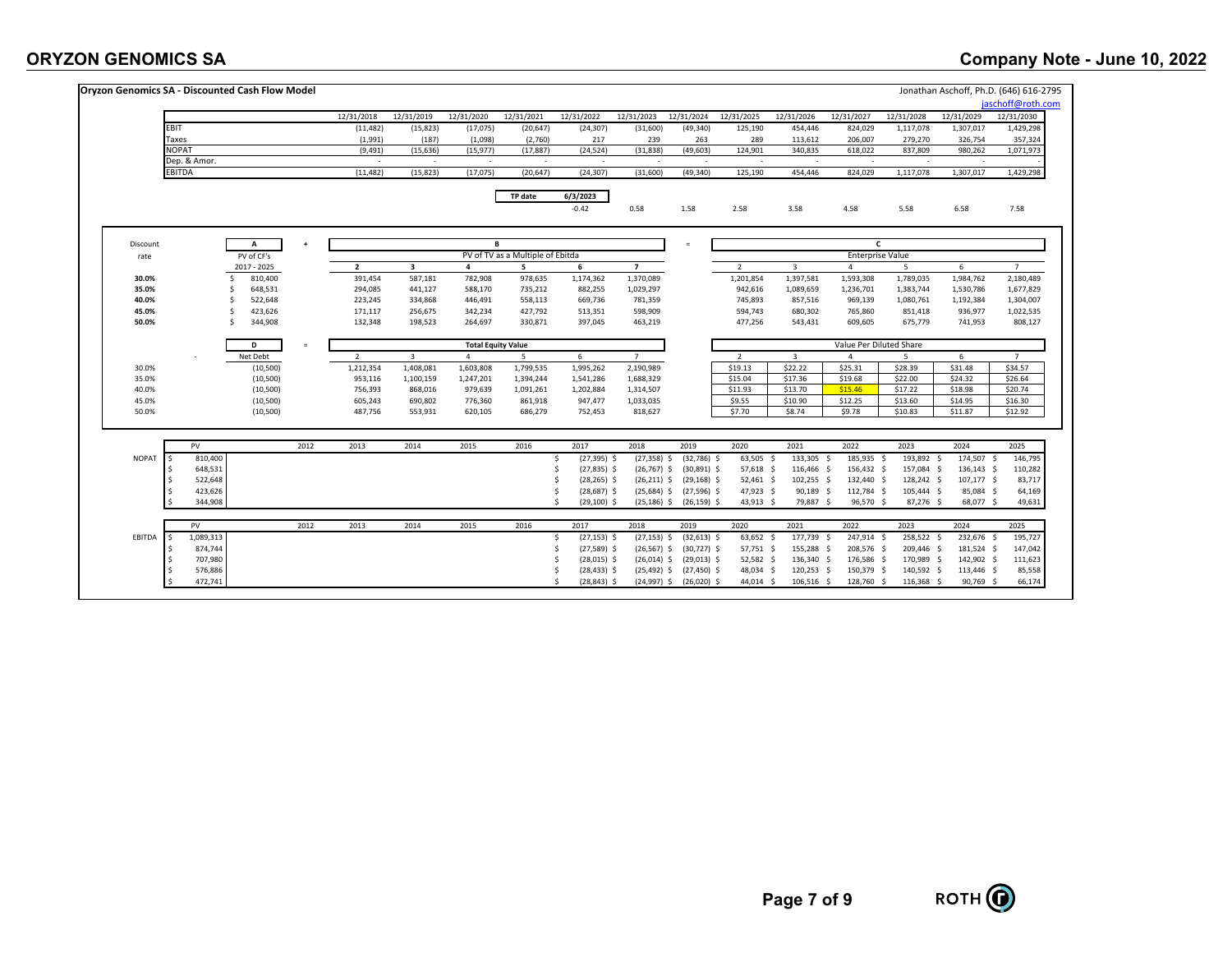## **ORYZON GENOMICS SA**

|              | Oryzon Genomics SA - Discounted Cash Flow Model |           |                |                |                           |                                  |                        |                        |                               |                     |                         |                         |                    | Jonathan Aschoff, Ph.D. (646) 616-2795 |                    |
|--------------|-------------------------------------------------|-----------|----------------|----------------|---------------------------|----------------------------------|------------------------|------------------------|-------------------------------|---------------------|-------------------------|-------------------------|--------------------|----------------------------------------|--------------------|
|              |                                                 |           |                |                |                           |                                  |                        |                        |                               |                     |                         |                         |                    |                                        | jaschoff@roth.com  |
|              |                                                 |           | 12/31/2018     | 12/31/2019     | 12/31/2020                | 12/31/2021                       | 12/31/2022             | 12/31/2023             | 12/31/2024                    | 12/31/2025          | 12/31/2026              | 12/31/2027              | 12/31/2028         | 12/31/2029                             | 12/31/2030         |
| EBIT         |                                                 |           | (11, 482)      | (15, 823)      | (17,075)                  | (20, 647)                        | (24, 307)              | (31,600)               | (49, 340)                     | 125,190             | 454,446                 | 824,029                 | 1,117,078          | 1,307,017                              | 1,429,298          |
| Taxes        |                                                 |           | (1,991)        | (187)          | (1,098)                   | (2,760)                          | 217                    | 239                    | 263                           | 289                 | 113,612                 | 206,007                 | 279,270            | 326,754                                | 357,324            |
|              | <b>JOPAT</b>                                    |           | (9, 491)       | (15, 636)      | (15, 977)                 | (17, 887)                        | (24, 524)              | (31, 838)              | (49, 603)                     | 124,901             | 340,835                 | 618,022                 | 837,809            | 980,262                                | 1,071,973          |
|              | Dep. & Amor.<br>EBITDA                          |           | (11, 482)      | (15, 823)      | $\sim$<br>(17, 075)       | $\sim$<br>(20, 647)              | (24, 307)              | (31,600)               | (49, 340)                     | 125,190             | $\sim$<br>454,446       | 824,029                 | 1,117,078          | 1,307,017                              | 1,429,298          |
|              |                                                 |           |                |                |                           |                                  |                        |                        |                               |                     |                         |                         |                    |                                        |                    |
|              |                                                 |           |                |                |                           | TP date                          | 6/3/2023               |                        |                               |                     |                         |                         |                    |                                        |                    |
|              |                                                 |           |                |                |                           |                                  | $-0.42$                | 0.58                   | 1.58                          | 2.58                | 3.58                    | 4.58                    | 5.58               | 6.58                                   | 7.58               |
| Discount     | A                                               | $\ddot{}$ |                |                | в.                        |                                  |                        |                        | $=$                           |                     |                         | C                       |                    |                                        |                    |
| rate         | PV of CF's                                      |           |                |                |                           | PV of TV as a Multiple of Ebitda |                        |                        |                               |                     |                         | <b>Enterprise Value</b> |                    |                                        |                    |
|              | 2017 - 2025                                     |           | $\mathbf{2}$   | 3              | 4                         | 5                                | 6                      | $\overline{7}$         |                               | $\overline{2}$      | $\overline{\mathbf{3}}$ | $\overline{4}$          | 5                  | 6                                      | $7^{\circ}$        |
| 30.0%        | 810,400<br>Ś                                    |           | 391,454        | 587,181        | 782,908                   | 978,635                          | 1,174,362              | 1,370,089              |                               | 1,201,854           | 1,397,581               | 1,593,308               | 1,789,035          | 1,984,762                              | 2,180,489          |
| 35.0%        | 648,531<br>S                                    |           | 294,085        | 441,127        | 588,170                   | 735,212                          | 882,255                | 1,029,297              |                               | 942,616             | 1,089,659               | 1,236,701               | 1,383,744          | 1,530,786                              | 1,677,829          |
| 40.0%        | 522,648<br>Ś                                    |           | 223,245        | 334,868        | 446,491                   | 558,113                          | 669,736                | 781,359                |                               | 745,893             | 857,516                 | 969,139                 | 1,080,761          | 1,192,384                              | 1,304,007          |
| 45.0%        | 423,626<br>Ś                                    |           | 171,117        | 256,675        | 342,234                   | 427,792                          | 513,351                | 598,909                |                               | 594,743             | 680,302                 | 765,860                 | 851,418            | 936,977                                | 1,022,535          |
| 50.0%        | 344,908<br>Ś                                    |           | 132,348        | 198,523        | 264,697                   | 330,871                          | 397,045                | 463,219                |                               | 477,256             | 543,431                 | 609,605                 | 675,779            | 741,953                                | 808,127            |
|              | D                                               | $\equiv$  |                |                | <b>Total Equity Value</b> |                                  |                        |                        |                               |                     |                         | Value Per Diluted Share |                    |                                        |                    |
|              | Net Debt                                        |           | $\overline{2}$ | $\overline{3}$ | $\overline{4}$            | -5                               | 6                      | $\overline{7}$         |                               | 2                   | $\overline{\mathbf{3}}$ | $\overline{4}$          | -5                 | 6                                      | $\overline{7}$     |
| 30.0%        | (10, 500)                                       |           | 1,212,354      | 1,408,081      | 1,603,808                 | 1,799,535                        | 1,995,262              | 2,190,989              |                               | \$19.13             | \$22.22                 | \$25.31                 | \$28.39            | \$31.48                                | \$34.57            |
| 35.0%        | (10, 500)                                       |           | 953,116        | 1,100,159      | 1,247,201                 | 1,394,244                        | 1,541,286              | 1,688,329              |                               | \$15.04             | \$17.36                 | \$19.68                 | \$22.00            | \$24.32                                | \$26.64            |
| 40.0%        | (10, 500)                                       |           | 756,393        | 868,016        | 979,639                   | 1,091,261                        | 1,202,884              | 1,314,507              |                               | \$11.93             | \$13.70                 | \$15.46                 | \$17.22            | \$18.98                                | \$20.74            |
| 45.0%        | (10, 500)                                       |           | 605,243        | 690,802        | 776,360                   | 861,918                          | 947,477                | 1,033,035              |                               | \$9.55              | \$10.90                 | \$12.25                 | \$13.60            | \$14.95                                | \$16.30            |
| 50.0%        | (10, 500)                                       |           | 487,756        | 553,931        | 620,105                   | 686,279                          | 752,453                | 818,627                |                               | \$7.70              | \$8.74                  | \$9.78                  | \$10.83            | \$11.87                                | \$12.92            |
|              |                                                 |           |                |                |                           |                                  |                        |                        |                               |                     |                         |                         |                    |                                        |                    |
| <b>NOPAT</b> | PV<br>810,400                                   | 2012      | 2013           | 2014           | 2015                      | 2016                             | 2017<br>$(27, 395)$ \$ | 2018<br>$(27, 358)$ \$ | 2019<br>$(32,786)$ \$         | 2020<br>$63,505$ \$ | 2021<br>133,305 \$      | 2022<br>185,935 \$      | 2023<br>193,892 \$ | 2024<br>174,507 \$                     | 2025               |
|              | 648,531                                         |           |                |                |                           |                                  | \$<br>$(27, 835)$ \$   | $(26,767)$ \$          | $(30,891)$ \$                 | 57,618 \$           | 116,466 \$              | 156,432 \$              | 157,084 \$         | 136,143 \$                             | 146,795<br>110,282 |
|              | 522,648                                         |           |                |                |                           |                                  | $(28, 265)$ \$         |                        | $(26,211)$ \$ $(29,168)$ \$   | 52,461 \$           | $102,255$ \$            | 132,440 \$              | 128,242 \$         | 107,177 \$                             |                    |
|              | 423,626                                         |           |                |                |                           |                                  | $(28, 687)$ \$         |                        | $(25,684)$ \$ $(27,596)$ \$   | 47,923 \$           | 90,189 \$               | 112,784 \$              | 105,444 \$         | 85,084 \$                              | 64,169             |
|              | 344,908                                         |           |                |                |                           |                                  | \$.<br>$(29, 100)$ \$  |                        | $(25, 186)$ \$ $(26, 159)$ \$ | 43,913 \$           | 79,887 \$               | 96,570 \$               | 87,276 \$          | 68,077 \$                              |                    |
|              | PV                                              | 2012      | 2013           | 2014           | 2015                      | 2016                             | 2017                   | 2018                   | 2019                          | 2020                | 2021                    | 2022                    | 2023               | 2024                                   | 2025               |
| EBITDA       | 1,089,313                                       |           |                |                |                           |                                  | $(27, 153)$ \$<br>Ś.   | $(27, 153)$ \$         | $(32,613)$ \$                 | 63,652 \$           | 177,739 \$              | 247,914 \$              | 258,522 \$         | 232,676 \$                             | 195,727            |
|              | 874,744                                         |           |                |                |                           |                                  | $(27,589)$ \$<br>Ś     |                        | $(26,567)$ \$ $(30,727)$ \$   | 57,751 \$           | 155,288 \$              | 208,576 \$              | 209,446 \$         | 181,524 \$                             | 147,042            |
|              | 707,980                                         |           |                |                |                           |                                  | $(28,015)$ \$          |                        | $(26,014)$ \$ $(29,013)$ \$   | 52,582 \$           | 136,340 \$              | 176,586 \$              | 170,989 \$         | 142,902 \$                             | 111,623            |
|              | 576,886                                         |           |                |                |                           |                                  | $(28, 433)$ \$         |                        | $(25,492)$ \$ $(27,450)$ \$   | 48,034 \$           | 120,253 \$              | 150,379 \$              | 140,592 \$         | 113,446 \$                             | 85,558             |
|              | 472,741                                         |           |                |                |                           |                                  | $(28, 843)$ \$         | $(24,997)$ \$          | $(26,020)$ \$                 |                     | 106,516 \$              | 128,760 \$              | 116,368 \$         | 90,769 \$                              | 66,174             |
|              |                                                 |           |                |                |                           |                                  |                        |                        |                               | 44,014 \$           |                         |                         |                    |                                        |                    |

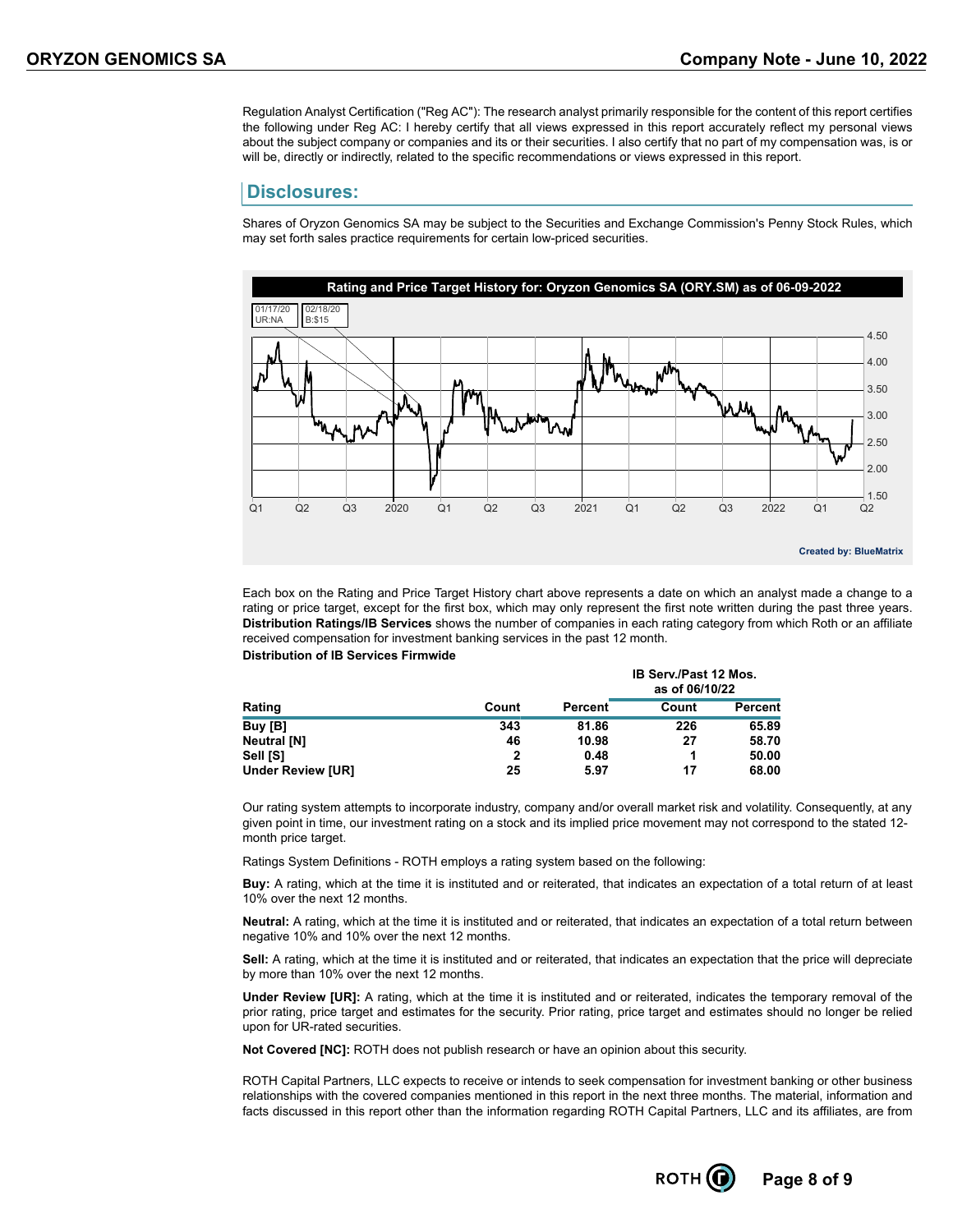Regulation Analyst Certification ("Reg AC"): The research analyst primarily responsible for the content of this report certifies the following under Reg AC: I hereby certify that all views expressed in this report accurately reflect my personal views about the subject company or companies and its or their securities. I also certify that no part of my compensation was, is or will be, directly or indirectly, related to the specific recommendations or views expressed in this report.

#### **Disclosures:**

Shares of Oryzon Genomics SA may be subject to the Securities and Exchange Commission's Penny Stock Rules, which may set forth sales practice requirements for certain low-priced securities.



Each box on the Rating and Price Target History chart above represents a date on which an analyst made a change to a rating or price target, except for the first box, which may only represent the first note written during the past three years. **Distribution Ratings/IB Services** shows the number of companies in each rating category from which Roth or an affiliate received compensation for investment banking services in the past 12 month. **Distribution of IB Services Firmwide**

|                                              |       |         | <b>IB Serv./Past 12 Mos.</b><br>as of 06/10/22 |                |  |  |  |  |
|----------------------------------------------|-------|---------|------------------------------------------------|----------------|--|--|--|--|
| Rating<br>Buy [B]<br>Neutral [N]<br>Sell [S] | Count | Percent | Count                                          | <b>Percent</b> |  |  |  |  |
|                                              | 343   | 81.86   | 226                                            | 65.89          |  |  |  |  |
|                                              | 46    | 10.98   | 27                                             | 58.70          |  |  |  |  |
|                                              | 2     | 0.48    | 1                                              | 50.00          |  |  |  |  |
| <b>Under Review [UR]</b>                     | 25    | 5.97    | 17                                             | 68.00          |  |  |  |  |

Our rating system attempts to incorporate industry, company and/or overall market risk and volatility. Consequently, at any given point in time, our investment rating on a stock and its implied price movement may not correspond to the stated 12 month price target.

Ratings System Definitions - ROTH employs a rating system based on the following:

**Buy:** A rating, which at the time it is instituted and or reiterated, that indicates an expectation of a total return of at least 10% over the next 12 months.

**Neutral:** A rating, which at the time it is instituted and or reiterated, that indicates an expectation of a total return between negative 10% and 10% over the next 12 months.

**Sell:** A rating, which at the time it is instituted and or reiterated, that indicates an expectation that the price will depreciate by more than 10% over the next 12 months.

**Under Review [UR]:** A rating, which at the time it is instituted and or reiterated, indicates the temporary removal of the prior rating, price target and estimates for the security. Prior rating, price target and estimates should no longer be relied upon for UR-rated securities.

**Not Covered [NC]:** ROTH does not publish research or have an opinion about this security.

ROTH Capital Partners, LLC expects to receive or intends to seek compensation for investment banking or other business relationships with the covered companies mentioned in this report in the next three months. The material, information and facts discussed in this report other than the information regarding ROTH Capital Partners, LLC and its affiliates, are from